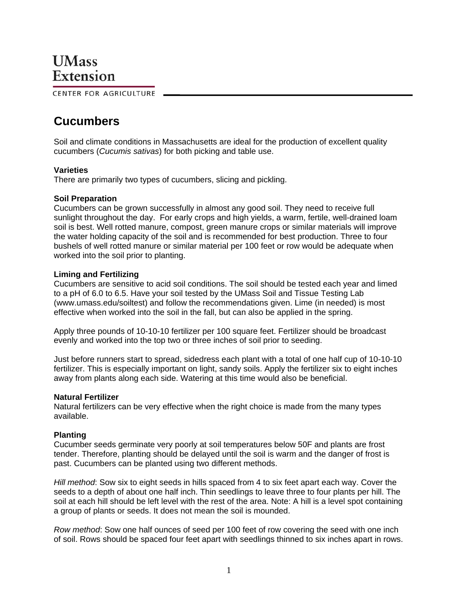# **UMass** Extension

CENTER FOR AGRICULTURE

# **Cucumbers**

Soil and climate conditions in Massachusetts are ideal for the production of excellent quality cucumbers (*Cucumis sativas*) for both picking and table use.

# **Varieties**

There are primarily two types of cucumbers, slicing and pickling.

# **Soil Preparation**

Cucumbers can be grown successfully in almost any good soil. They need to receive full sunlight throughout the day. For early crops and high yields, a warm, fertile, well-drained loam soil is best. Well rotted manure, compost, green manure crops or similar materials will improve the water holding capacity of the soil and is recommended for best production. Three to four bushels of well rotted manure or similar material per 100 feet or row would be adequate when worked into the soil prior to planting.

# **Liming and Fertilizing**

Cucumbers are sensitive to acid soil conditions. The soil should be tested each year and limed to a pH of 6.0 to 6.5. Have your soil tested by the UMass Soil and Tissue Testing Lab (www.umass.edu/soiltest) and follow the recommendations given. Lime (in needed) is most effective when worked into the soil in the fall, but can also be applied in the spring.

Apply three pounds of 10-10-10 fertilizer per 100 square feet. Fertilizer should be broadcast evenly and worked into the top two or three inches of soil prior to seeding.

Just before runners start to spread, sidedress each plant with a total of one half cup of 10-10-10 fertilizer. This is especially important on light, sandy soils. Apply the fertilizer six to eight inches away from plants along each side. Watering at this time would also be beneficial.

# **Natural Fertilizer**

Natural fertilizers can be very effective when the right choice is made from the many types available.

# **Planting**

Cucumber seeds germinate very poorly at soil temperatures below 50F and plants are frost tender. Therefore, planting should be delayed until the soil is warm and the danger of frost is past. Cucumbers can be planted using two different methods.

*Hill method*: Sow six to eight seeds in hills spaced from 4 to six feet apart each way. Cover the seeds to a depth of about one half inch. Thin seedlings to leave three to four plants per hill. The soil at each hill should be left level with the rest of the area. Note: A hill is a level spot containing a group of plants or seeds. It does not mean the soil is mounded.

*Row method*: Sow one half ounces of seed per 100 feet of row covering the seed with one inch of soil. Rows should be spaced four feet apart with seedlings thinned to six inches apart in rows.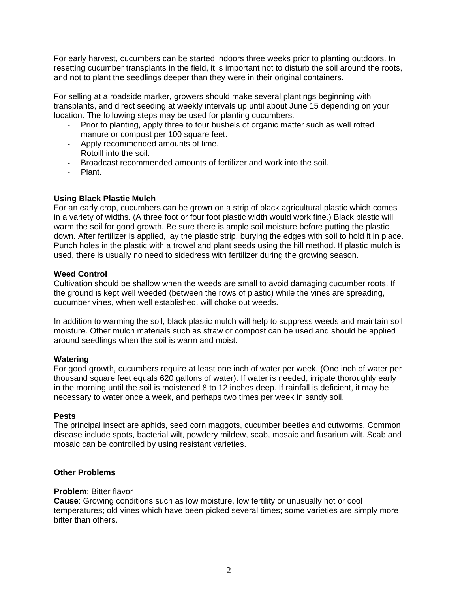For early harvest, cucumbers can be started indoors three weeks prior to planting outdoors. In resetting cucumber transplants in the field, it is important not to disturb the soil around the roots, and not to plant the seedlings deeper than they were in their original containers.

For selling at a roadside marker, growers should make several plantings beginning with transplants, and direct seeding at weekly intervals up until about June 15 depending on your location. The following steps may be used for planting cucumbers.

- Prior to planting, apply three to four bushels of organic matter such as well rotted manure or compost per 100 square feet.
- Apply recommended amounts of lime.
- Rotoill into the soil.
- Broadcast recommended amounts of fertilizer and work into the soil.
- Plant.

# **Using Black Plastic Mulch**

For an early crop, cucumbers can be grown on a strip of black agricultural plastic which comes in a variety of widths. (A three foot or four foot plastic width would work fine.) Black plastic will warm the soil for good growth. Be sure there is ample soil moisture before putting the plastic down. After fertilizer is applied, lay the plastic strip, burying the edges with soil to hold it in place. Punch holes in the plastic with a trowel and plant seeds using the hill method. If plastic mulch is used, there is usually no need to sidedress with fertilizer during the growing season.

# **Weed Control**

Cultivation should be shallow when the weeds are small to avoid damaging cucumber roots. If the ground is kept well weeded (between the rows of plastic) while the vines are spreading, cucumber vines, when well established, will choke out weeds.

In addition to warming the soil, black plastic mulch will help to suppress weeds and maintain soil moisture. Other mulch materials such as straw or compost can be used and should be applied around seedlings when the soil is warm and moist.

# **Watering**

For good growth, cucumbers require at least one inch of water per week. (One inch of water per thousand square feet equals 620 gallons of water). If water is needed, irrigate thoroughly early in the morning until the soil is moistened 8 to 12 inches deep. If rainfall is deficient, it may be necessary to water once a week, and perhaps two times per week in sandy soil.

# **Pests**

The principal insect are aphids, seed corn maggots, cucumber beetles and cutworms. Common disease include spots, bacterial wilt, powdery mildew, scab, mosaic and fusarium wilt. Scab and mosaic can be controlled by using resistant varieties.

# **Other Problems**

# **Problem**: Bitter flavor

**Cause**: Growing conditions such as low moisture, low fertility or unusually hot or cool temperatures; old vines which have been picked several times; some varieties are simply more bitter than others.